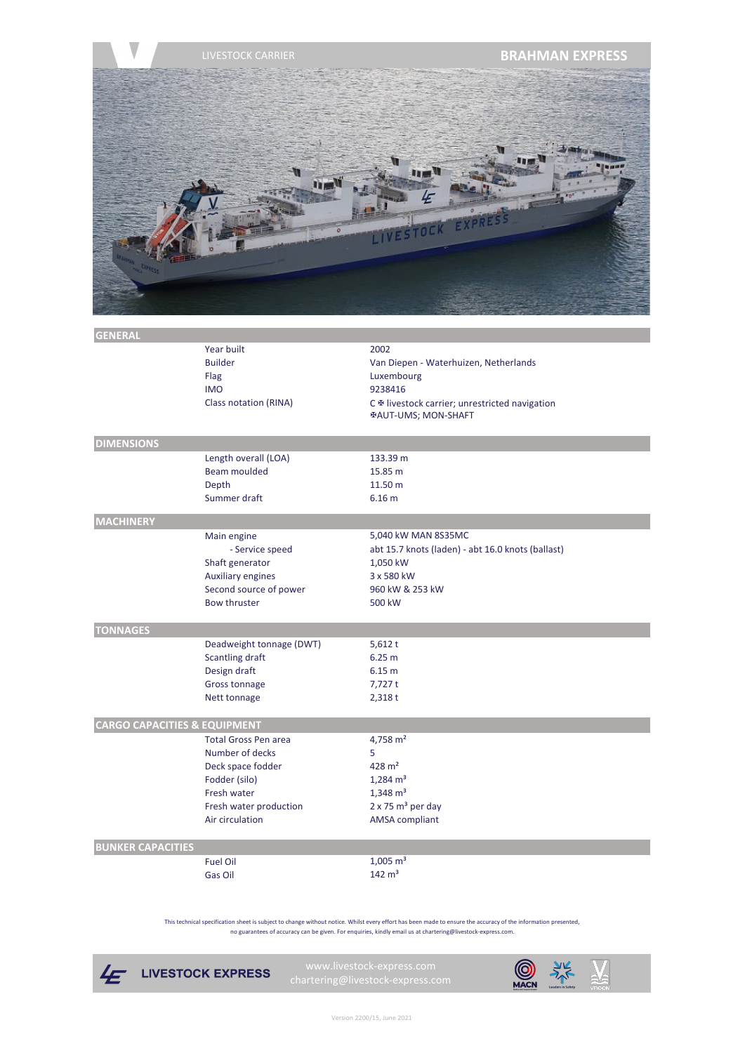

| <b>GENERAL</b>                          |                             |                                                   |
|-----------------------------------------|-----------------------------|---------------------------------------------------|
|                                         | Year built                  | 2002                                              |
|                                         | <b>Builder</b>              | Van Diepen - Waterhuizen, Netherlands             |
|                                         | Flag                        | Luxembourg                                        |
|                                         | <b>IMO</b>                  | 9238416                                           |
|                                         | Class notation (RINA)       | C ® livestock carrier; unrestricted navigation    |
|                                         |                             | <b>EAUT-UMS; MON-SHAFT</b>                        |
|                                         |                             |                                                   |
| <b>DIMENSIONS</b>                       |                             |                                                   |
|                                         | Length overall (LOA)        | 133.39 m                                          |
|                                         | <b>Beam moulded</b>         | 15.85 m                                           |
|                                         | Depth                       | 11.50 m                                           |
|                                         | Summer draft                | 6.16 <sub>m</sub>                                 |
| <b>MACHINERY</b>                        |                             |                                                   |
|                                         | Main engine                 | 5,040 kW MAN 8S35MC                               |
|                                         | - Service speed             | abt 15.7 knots (laden) - abt 16.0 knots (ballast) |
|                                         | Shaft generator             | 1,050 kW                                          |
|                                         | <b>Auxiliary engines</b>    | 3 x 580 kW                                        |
|                                         | Second source of power      | 960 kW & 253 kW                                   |
|                                         | <b>Bow thruster</b>         | 500 kW                                            |
|                                         |                             |                                                   |
| <b>TONNAGES</b>                         |                             |                                                   |
|                                         | Deadweight tonnage (DWT)    | 5,612t                                            |
|                                         | Scantling draft             | 6.25 m                                            |
|                                         | Design draft                | 6.15 <sub>m</sub>                                 |
|                                         | Gross tonnage               | 7,727t                                            |
|                                         | Nett tonnage                | 2,318t                                            |
|                                         |                             |                                                   |
| <b>CARGO CAPACITIES &amp; EQUIPMENT</b> |                             |                                                   |
|                                         | <b>Total Gross Pen area</b> | 4,758 $m2$                                        |
|                                         | Number of decks             | 5                                                 |
|                                         | Deck space fodder           | $428 \text{ m}^2$                                 |
|                                         | Fodder (silo)               | $1,284 \text{ m}^3$                               |
|                                         | Fresh water                 | $1,348 \text{ m}^3$                               |
|                                         | Fresh water production      | $2 \times 75$ m <sup>3</sup> per day              |
|                                         | Air circulation             | <b>AMSA</b> compliant                             |
|                                         |                             |                                                   |
| <b>BUNKER CAPACITIES</b>                |                             |                                                   |
|                                         | <b>Fuel Oil</b>             | $1,005 \text{ m}^3$                               |
|                                         | <b>Gas Oil</b>              | $142 \text{ m}^3$                                 |

no guarantees of accuracy can be given. For enquiries, kindly email us at chartering@livestock-express.com. This technical specification sheet is subject to change without notice. Whilst every effort has been made to ensure the accuracy of the information presented,



**LIVESTOCK EXPRESS**